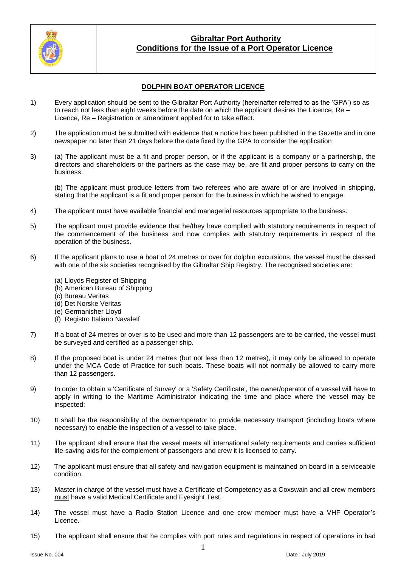

## **DOLPHIN BOAT OPERATOR LICENCE**

- 1) Every application should be sent to the Gibraltar Port Authority (hereinafter referred to as the 'GPA') so as to reach not less than eight weeks before the date on which the applicant desires the Licence, Re – Licence, Re – Registration or amendment applied for to take effect.
- 2) The application must be submitted with evidence that a notice has been published in the Gazette and in one newspaper no later than 21 days before the date fixed by the GPA to consider the application
- 3) (a) The applicant must be a fit and proper person, or if the applicant is a company or a partnership, the directors and shareholders or the partners as the case may be, are fit and proper persons to carry on the business.

(b) The applicant must produce letters from two referees who are aware of or are involved in shipping, stating that the applicant is a fit and proper person for the business in which he wished to engage.

- 4) The applicant must have available financial and managerial resources appropriate to the business.
- 5) The applicant must provide evidence that he/they have complied with statutory requirements in respect of the commencement of the business and now complies with statutory requirements in respect of the operation of the business.
- 6) If the applicant plans to use a boat of 24 metres or over for dolphin excursions, the vessel must be classed with one of the six societies recognised by the Gibraltar Ship Registry. The recognised societies are:
	- (a) Lloyds Register of Shipping
	- (b) American Bureau of Shipping
	- (c) Bureau Veritas
	- (d) Det Norske Veritas
	- (e) Germanisher Lloyd
	- (f) Registro Italiano NavaleIf
- 7) If a boat of 24 metres or over is to be used and more than 12 passengers are to be carried, the vessel must be surveyed and certified as a passenger ship.
- 8) If the proposed boat is under 24 metres (but not less than 12 metres), it may only be allowed to operate under the MCA Code of Practice for such boats. These boats will not normally be allowed to carry more than 12 passengers.
- 9) In order to obtain a 'Certificate of Survey' or a 'Safety Certificate', the owner/operator of a vessel will have to apply in writing to the Maritime Administrator indicating the time and place where the vessel may be inspected:
- 10) It shall be the responsibility of the owner/operator to provide necessary transport (including boats where necessary) to enable the inspection of a vessel to take place.
- 11) The applicant shall ensure that the vessel meets all international safety requirements and carries sufficient life-saving aids for the complement of passengers and crew it is licensed to carry.
- 12) The applicant must ensure that all safety and navigation equipment is maintained on board in a serviceable condition.
- 13) Master in charge of the vessel must have a Certificate of Competency as a Coxswain and all crew members must have a valid Medical Certificate and Eyesight Test.
- 14) The vessel must have a Radio Station Licence and one crew member must have a VHF Operator's Licence.
- 15) The applicant shall ensure that he complies with port rules and regulations in respect of operations in bad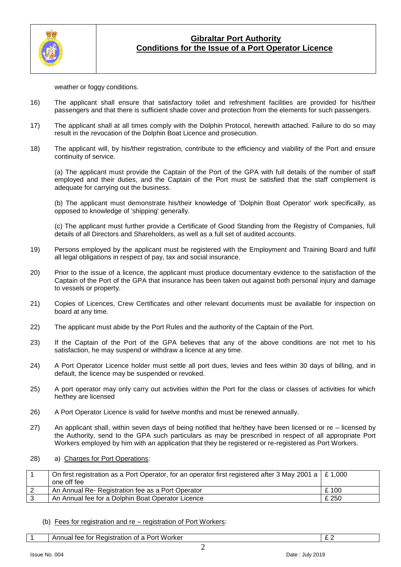

weather or foggy conditions.

- 16) The applicant shall ensure that satisfactory toilet and refreshment facilities are provided for his/their passengers and that there is sufficient shade cover and protection from the elements for such passengers.
- 17) The applicant shall at all times comply with the Dolphin Protocol, herewith attached. Failure to do so may result in the revocation of the Dolphin Boat Licence and prosecution.
- 18) The applicant will, by his/their registration, contribute to the efficiency and viability of the Port and ensure continuity of service.

(a) The applicant must provide the Captain of the Port of the GPA with full details of the number of staff employed and their duties, and the Captain of the Port must be satisfied that the staff complement is adequate for carrying out the business.

(b) The applicant must demonstrate his/their knowledge of 'Dolphin Boat Operator' work specifically, as opposed to knowledge of 'shipping' generally.

(c) The applicant must further provide a Certificate of Good Standing from the Registry of Companies, full details of all Directors and Shareholders, as well as a full set of audited accounts.

- 19) Persons employed by the applicant must be registered with the Employment and Training Board and fulfil all legal obligations in respect of pay, tax and social insurance.
- 20) Prior to the issue of a licence, the applicant must produce documentary evidence to the satisfaction of the Captain of the Port of the GPA that insurance has been taken out against both personal injury and damage to vessels or property.
- 21) Copies of Licences, Crew Certificates and other relevant documents must be available for inspection on board at any time.
- 22) The applicant must abide by the Port Rules and the authority of the Captain of the Port.
- 23) If the Captain of the Port of the GPA believes that any of the above conditions are not met to his satisfaction, he may suspend or withdraw a licence at any time.
- 24) A Port Operator Licence holder must settle all port dues, levies and fees within 30 days of billing, and in default, the licence may be suspended or revoked.
- 25) A port operator may only carry out activities within the Port for the class or classes of activities for which he/they are licensed
- 26) A Port Operator Licence is valid for twelve months and must be renewed annually.
- 27) An applicant shall, within seven days of being notified that he/they have been licensed or re licensed by the Authority, send to the GPA such particulars as may be prescribed in respect of all appropriate Port Workers employed by him with an application that they be registered or re-registered as Port Workers.
- 28) a) Charges for Port Operations:

| On first registration as a Port Operator, for an operator first registered after 3 May 2001 a $\mid$ £ 1,000 |       |
|--------------------------------------------------------------------------------------------------------------|-------|
| one off fee                                                                                                  |       |
| An Annual Re- Registration fee as a Port Operator                                                            | £100  |
| An Annual fee for a Dolphin Boat Operator Licence                                                            | £ 250 |

#### (b) Fees for registration and re – registration of Port Workers:

1 Annual fee for Registration of a Port Worker **Example 2** 2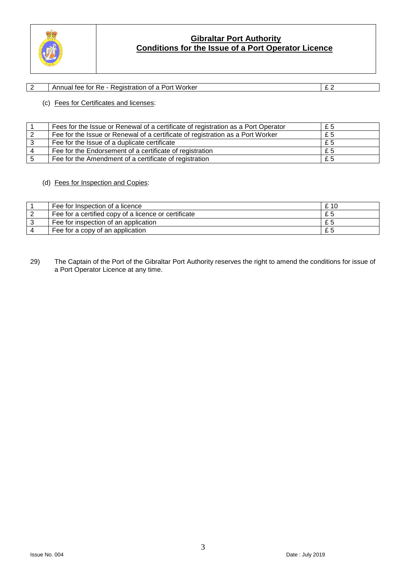

## 2 Annual fee for Re - Registration of a Port Worker  $\boxed{\text{£ 2}}$

### (c) Fees for Certificates and licenses:

| Fees for the Issue or Renewal of a certificate of registration as a Port Operator | £5  |
|-----------------------------------------------------------------------------------|-----|
| Fee for the Issue or Renewal of a certificate of registration as a Port Worker    | £5  |
| Fee for the Issue of a duplicate certificate                                      | £5  |
| Fee for the Endorsement of a certificate of registration                          | £5  |
| Fee for the Amendment of a certificate of registration                            | £ 5 |

### (d) Fees for Inspection and Copies:

| Fee for Inspection of a licence                      | £10 |
|------------------------------------------------------|-----|
| Fee for a certified copy of a licence or certificate | £5  |
| Fee for inspection of an application                 | £5  |
| Fee for a copy of an application                     |     |

29) The Captain of the Port of the Gibraltar Port Authority reserves the right to amend the conditions for issue of a Port Operator Licence at any time.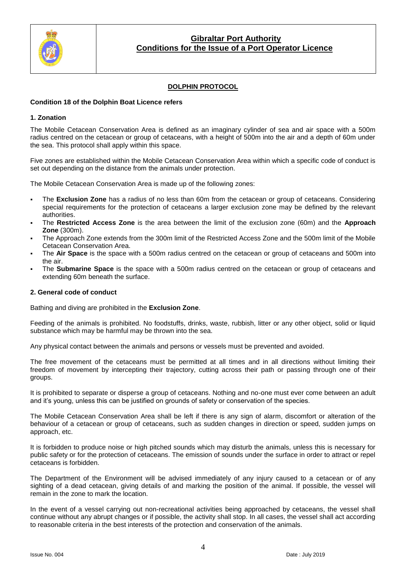

## **DOLPHIN PROTOCOL**

### **Condition 18 of the Dolphin Boat Licence refers**

### **1. Zonation**

The Mobile Cetacean Conservation Area is defined as an imaginary cylinder of sea and air space with a 500m radius centred on the cetacean or group of cetaceans, with a height of 500m into the air and a depth of 60m under the sea. This protocol shall apply within this space.

Five zones are established within the Mobile Cetacean Conservation Area within which a specific code of conduct is set out depending on the distance from the animals under protection.

The Mobile Cetacean Conservation Area is made up of the following zones:

- The **Exclusion Zone** has a radius of no less than 60m from the cetacean or group of cetaceans. Considering special requirements for the protection of cetaceans a larger exclusion zone may be defined by the relevant authorities.
- The **Restricted Access Zone** is the area between the limit of the exclusion zone (60m) and the **Approach Zone** (300m).
- The Approach Zone extends from the 300m limit of the Restricted Access Zone and the 500m limit of the Mobile Cetacean Conservation Area.
- The **Air Space** is the space with a 500m radius centred on the cetacean or group of cetaceans and 500m into the air.
- The **Submarine Space** is the space with a 500m radius centred on the cetacean or group of cetaceans and extending 60m beneath the surface.

### **2. General code of conduct**

Bathing and diving are prohibited in the **Exclusion Zone**.

Feeding of the animals is prohibited. No foodstuffs, drinks, waste, rubbish, litter or any other object, solid or liquid substance which may be harmful may be thrown into the sea.

Any physical contact between the animals and persons or vessels must be prevented and avoided.

The free movement of the cetaceans must be permitted at all times and in all directions without limiting their freedom of movement by intercepting their trajectory, cutting across their path or passing through one of their groups.

It is prohibited to separate or disperse a group of cetaceans. Nothing and no-one must ever come between an adult and it's young, unless this can be justified on grounds of safety or conservation of the species.

The Mobile Cetacean Conservation Area shall be left if there is any sign of alarm, discomfort or alteration of the behaviour of a cetacean or group of cetaceans, such as sudden changes in direction or speed, sudden jumps on approach, etc.

It is forbidden to produce noise or high pitched sounds which may disturb the animals, unless this is necessary for public safety or for the protection of cetaceans. The emission of sounds under the surface in order to attract or repel cetaceans is forbidden.

The Department of the Environment will be advised immediately of any injury caused to a cetacean or of any sighting of a dead cetacean, giving details of and marking the position of the animal. If possible, the vessel will remain in the zone to mark the location.

In the event of a vessel carrying out non-recreational activities being approached by cetaceans, the vessel shall continue without any abrupt changes or if possible, the activity shall stop. In all cases, the vessel shall act according to reasonable criteria in the best interests of the protection and conservation of the animals.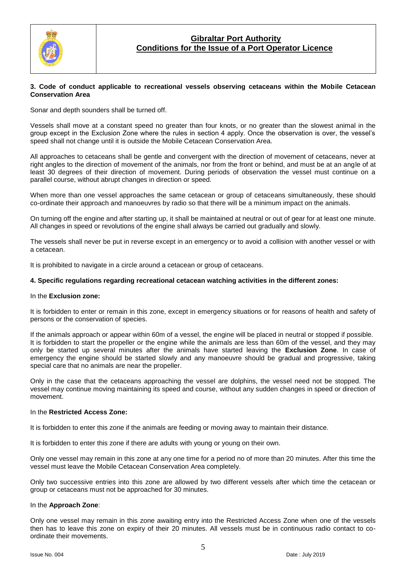

#### **3. Code of conduct applicable to recreational vessels observing cetaceans within the Mobile Cetacean Conservation Area**

Sonar and depth sounders shall be turned off.

Vessels shall move at a constant speed no greater than four knots, or no greater than the slowest animal in the group except in the Exclusion Zone where the rules in section 4 apply. Once the observation is over, the vessel's speed shall not change until it is outside the Mobile Cetacean Conservation Area.

All approaches to cetaceans shall be gentle and convergent with the direction of movement of cetaceans, never at right angles to the direction of movement of the animals, nor from the front or behind, and must be at an angle of at least 30 degrees of their direction of movement. During periods of observation the vessel must continue on a parallel course, without abrupt changes in direction or speed.

When more than one vessel approaches the same cetacean or group of cetaceans simultaneously, these should co-ordinate their approach and manoeuvres by radio so that there will be a minimum impact on the animals.

On turning off the engine and after starting up, it shall be maintained at neutral or out of gear for at least one minute. All changes in speed or revolutions of the engine shall always be carried out gradually and slowly.

The vessels shall never be put in reverse except in an emergency or to avoid a collision with another vessel or with a cetacean.

It is prohibited to navigate in a circle around a cetacean or group of cetaceans.

#### **4. Specific regulations regarding recreational cetacean watching activities in the different zones:**

#### In the **Exclusion zone:**

It is forbidden to enter or remain in this zone, except in emergency situations or for reasons of health and safety of persons or the conservation of species.

If the animals approach or appear within 60m of a vessel, the engine will be placed in neutral or stopped if possible. It is forbidden to start the propeller or the engine while the animals are less than 60m of the vessel, and they may only be started up several minutes after the animals have started leaving the **Exclusion Zone**. In case of emergency the engine should be started slowly and any manoeuvre should be gradual and progressive, taking special care that no animals are near the propeller.

Only in the case that the cetaceans approaching the vessel are dolphins, the vessel need not be stopped. The vessel may continue moving maintaining its speed and course, without any sudden changes in speed or direction of movement.

#### In the **Restricted Access Zone:**

It is forbidden to enter this zone if the animals are feeding or moving away to maintain their distance.

It is forbidden to enter this zone if there are adults with young or young on their own.

Only one vessel may remain in this zone at any one time for a period no of more than 20 minutes. After this time the vessel must leave the Mobile Cetacean Conservation Area completely.

Only two successive entries into this zone are allowed by two different vessels after which time the cetacean or group or cetaceans must not be approached for 30 minutes.

#### In the **Approach Zone**:

Only one vessel may remain in this zone awaiting entry into the Restricted Access Zone when one of the vessels then has to leave this zone on expiry of their 20 minutes. All vessels must be in continuous radio contact to coordinate their movements.